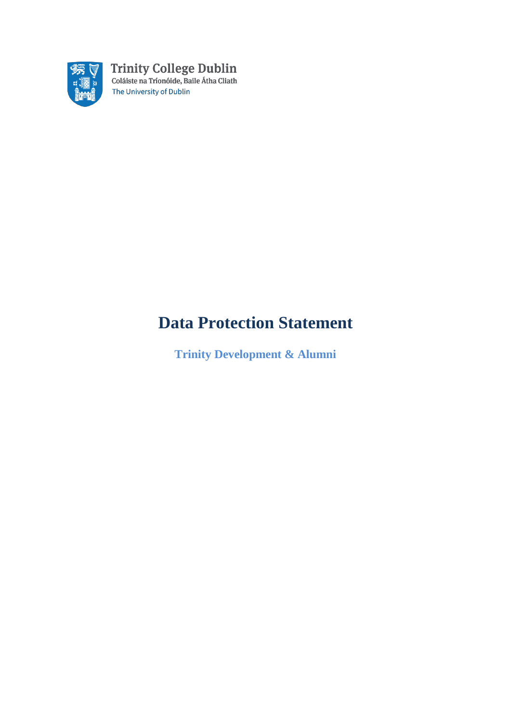

# **Data Protection Statement**

**Trinity Development & Alumni**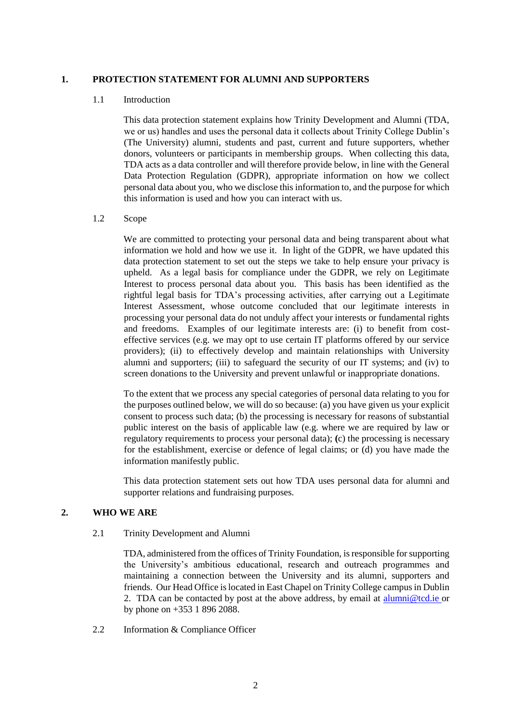#### **1. PROTECTION STATEMENT FOR ALUMNI AND SUPPORTERS**

#### 1.1 Introduction

This data protection statement explains how Trinity Development and Alumni (TDA, we or us) handles and uses the personal data it collects about Trinity College Dublin's (The University) alumni, students and past, current and future supporters, whether donors, volunteers or participants in membership groups. When collecting this data, TDA acts as a data controller and will therefore provide below, in line with the General Data Protection Regulation (GDPR), appropriate information on how we collect personal data about you, who we disclose this information to, and the purpose for which this information is used and how you can interact with us.

#### 1.2 Scope

We are committed to protecting your personal data and being transparent about what information we hold and how we use it. In light of the GDPR, we have updated this data protection statement to set out the steps we take to help ensure your privacy is upheld. As a legal basis for compliance under the GDPR, we rely on Legitimate Interest to process personal data about you. This basis has been identified as the rightful legal basis for TDA's processing activities, after carrying out a Legitimate Interest Assessment, whose outcome concluded that our legitimate interests in processing your personal data do not unduly affect your interests or fundamental rights and freedoms. Examples of our legitimate interests are: (i) to benefit from costeffective services (e.g. we may opt to use certain IT platforms offered by our service providers); (ii) to effectively develop and maintain relationships with University alumni and supporters; (iii) to safeguard the security of our IT systems; and (iv) to screen donations to the University and prevent unlawful or inappropriate donations.

To the extent that we process any special categories of personal data relating to you for the purposes outlined below, we will do so because: (a) you have given us your explicit consent to process such data; (b) the processing is necessary for reasons of substantial public interest on the basis of applicable law (e.g. where we are required by law or regulatory requirements to process your personal data); **(**c) the processing is necessary for the establishment, exercise or defence of legal claims; or (d) you have made the information manifestly public.

This data protection statement sets out how TDA uses personal data for alumni and supporter relations and fundraising purposes.

#### **2. WHO WE ARE**

2.1 Trinity Development and Alumni

TDA, administered from the offices of Trinity Foundation, is responsible for supporting the University's ambitious educational, research and outreach programmes and maintaining a connection between the University and its alumni, supporters and friends. Our Head Office is located in East Chapel on Trinity College campus in Dublin 2. TDA can be contacted by post at the above address, by email at alumni@tcd.ie or by phone on +353 1 896 2088.

2.2 Information & Compliance Officer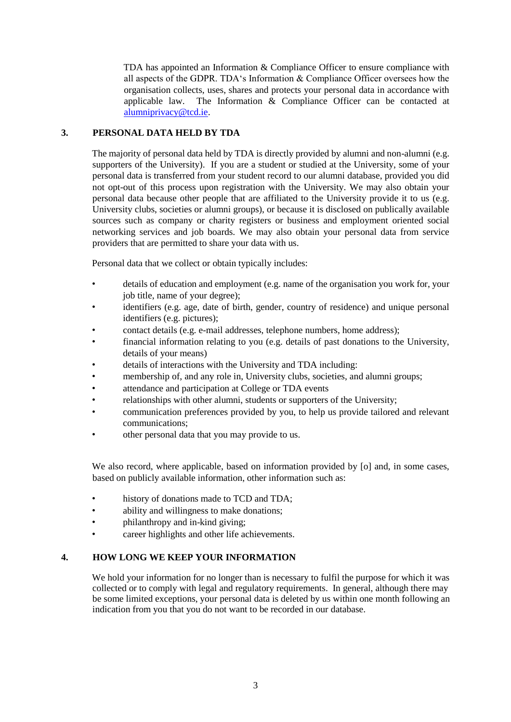TDA has appointed an Information & Compliance Officer to ensure compliance with all aspects of the GDPR. TDA's Information & Compliance Officer oversees how the organisation collects, uses, shares and protects your personal data in accordance with applicable law. The Information & Compliance Officer can be contacted at alumniprivacy@tcd.ie.

## **3. PERSONAL DATA HELD BY TDA**

The majority of personal data held by TDA is directly provided by alumni and non-alumni (e.g. supporters of the University). If you are a student or studied at the University, some of your personal data is transferred from your student record to our alumni database, provided you did not opt-out of this process upon registration with the University. We may also obtain your personal data because other people that are affiliated to the University provide it to us (e.g. University clubs, societies or alumni groups), or because it is disclosed on publically available sources such as company or charity registers or business and employment oriented social networking services and job boards. We may also obtain your personal data from service providers that are permitted to share your data with us.

Personal data that we collect or obtain typically includes:

- details of education and employment (e.g. name of the organisation you work for, your job title, name of your degree);
- identifiers (e.g. age, date of birth, gender, country of residence) and unique personal identifiers (e.g. pictures);
- contact details (e.g. e-mail addresses, telephone numbers, home address);
- financial information relating to you (e.g. details of past donations to the University, details of your means)
- details of interactions with the University and TDA including:
- membership of, and any role in, University clubs, societies, and alumni groups;
- attendance and participation at College or TDA events
- relationships with other alumni, students or supporters of the University;
- communication preferences provided by you, to help us provide tailored and relevant communications;
- other personal data that you may provide to us.

We also record, where applicable, based on information provided by [o] and, in some cases, based on publicly available information, other information such as:

- history of donations made to TCD and TDA;
- ability and willingness to make donations;
- philanthropy and in-kind giving;
- career highlights and other life achievements.

### **4. HOW LONG WE KEEP YOUR INFORMATION**

We hold your information for no longer than is necessary to fulfil the purpose for which it was collected or to comply with legal and regulatory requirements. In general, although there may be some limited exceptions, your personal data is deleted by us within one month following an indication from you that you do not want to be recorded in our database.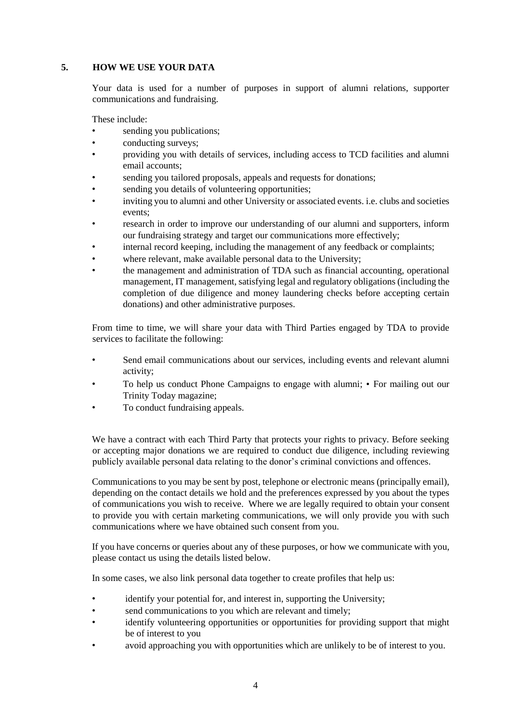## **5. HOW WE USE YOUR DATA**

Your data is used for a number of purposes in support of alumni relations, supporter communications and fundraising.

These include:

- sending you publications;
- conducting surveys;
- providing you with details of services, including access to TCD facilities and alumni email accounts;
- sending you tailored proposals, appeals and requests for donations;
- sending you details of volunteering opportunities;
- inviting you to alumni and other University or associated events. i.e. clubs and societies events;
- research in order to improve our understanding of our alumni and supporters, inform our fundraising strategy and target our communications more effectively;
- internal record keeping, including the management of any feedback or complaints;
- where relevant, make available personal data to the University;
- the management and administration of TDA such as financial accounting, operational management, IT management, satisfying legal and regulatory obligations (including the completion of due diligence and money laundering checks before accepting certain donations) and other administrative purposes.

From time to time, we will share your data with Third Parties engaged by TDA to provide services to facilitate the following:

- Send email communications about our services, including events and relevant alumni activity;
- To help us conduct Phone Campaigns to engage with alumni; For mailing out our Trinity Today magazine;
- To conduct fundraising appeals.

We have a contract with each Third Party that protects your rights to privacy. Before seeking or accepting major donations we are required to conduct due diligence, including reviewing publicly available personal data relating to the donor's criminal convictions and offences.

Communications to you may be sent by post, telephone or electronic means (principally email), depending on the contact details we hold and the preferences expressed by you about the types of communications you wish to receive. Where we are legally required to obtain your consent to provide you with certain marketing communications, we will only provide you with such communications where we have obtained such consent from you.

If you have concerns or queries about any of these purposes, or how we communicate with you, please contact us using the details listed below.

In some cases, we also link personal data together to create profiles that help us:

- identify your potential for, and interest in, supporting the University;
- send communications to you which are relevant and timely;
- identify volunteering opportunities or opportunities for providing support that might be of interest to you
- avoid approaching you with opportunities which are unlikely to be of interest to you.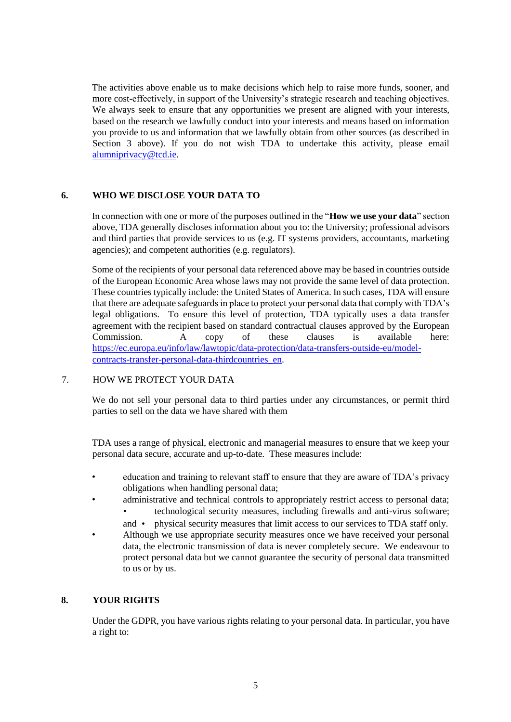The activities above enable us to make decisions which help to raise more funds, sooner, and more cost-effectively, in support of the University's strategic research and teaching objectives. We always seek to ensure that any opportunities we present are aligned with your interests, based on the research we lawfully conduct into your interests and means based on information you provide to us and information that we lawfully obtain from other sources (as described in Section 3 above). If you do not wish TDA to undertake this activity, please email alumniprivacy@tcd.ie.

## **6. WHO WE DISCLOSE YOUR DATA TO**

In connection with one or more of the purposes outlined in the "**How we use your data**" section above, TDA generally discloses information about you to: the University; professional advisors and third parties that provide services to us (e.g. IT systems providers, accountants, marketing agencies); and competent authorities (e.g. regulators).

Some of the recipients of your personal data referenced above may be based in countries outside of the European Economic Area whose laws may not provide the same level of data protection. These countries typically include: the United States of America. In such cases, TDA will ensure that there are adequate safeguards in place to protect your personal data that comply with TDA's legal obligations. To ensure this level of protection, TDA typically uses a data transfer agreement with the recipient based on standard contractual clauses approved by the European Commission. A copy of these clauses is available here: [https://ec.europa.eu/info/law/lawtopic/data-protection/data-transfers-outside-eu/model](https://ec.europa.eu/info/law/law-topic/data-protection/data-transfers-outside-eu/model-contracts-transfer-personal-data-third-countries_en)[contracts-transfer-personal-data-thirdcountries\\_en.](https://ec.europa.eu/info/law/law-topic/data-protection/data-transfers-outside-eu/model-contracts-transfer-personal-data-third-countries_en) 

#### 7. HOW WE PROTECT YOUR DATA

We do not sell your personal data to third parties under any circumstances, or permit third parties to sell on the data we have shared with them

TDA uses a range of physical, electronic and managerial measures to ensure that we keep your personal data secure, accurate and up-to-date. These measures include:

- education and training to relevant staff to ensure that they are aware of TDA's privacy obligations when handling personal data;
- administrative and technical controls to appropriately restrict access to personal data; • technological security measures, including firewalls and anti-virus software;
	- and physical security measures that limit access to our services to TDA staff only.
- Although we use appropriate security measures once we have received your personal data, the electronic transmission of data is never completely secure. We endeavour to protect personal data but we cannot guarantee the security of personal data transmitted to us or by us.

## **8. YOUR RIGHTS**

Under the GDPR, you have various rights relating to your personal data. In particular, you have a right to: